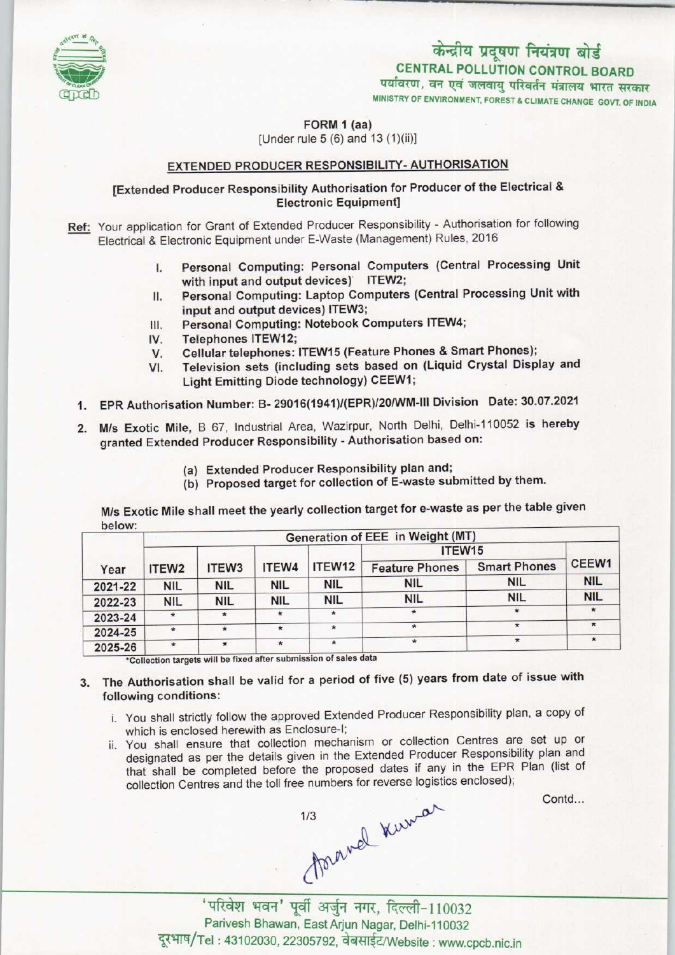

## केन्द्रीय प्रदूषण नियंत्रण बोर्ड<br>CENTRAL POLLUTION CONTROL BOARD<br>विरण, वन एवं जलवायु परिवर्तन मंत्रालय भारत सरकार<br>TRY OF ENVIRONMENT, FOREST & CLIMATE CHANGE GOVT. OF IND

CENTRAL POLLUTION CONTROL BOARD

MINISTRY OF ENVIRONMENT, FOREST & CLIMATE CHANGE GOVT. OF INDIA

FORM 1 (aa)

[Under rule  $5(6)$  and  $13(1)(ii)$ ]

## EXTENDED PRODUCER RESPONSIBILITY- AUTHORISATION

[Extended Producer Responsibility Authorisation for Producer of the Electrical & Electronic Equipment]

- Ref: Your application for Grant of Extended Producer Responsibility Authorisation for following Electrical & Electronic Equipment under E-Waste (Management) Rules, 2016
	- I. Personal Computing: Personal Computers (Central Processing Unit with input and output devices) ITEW2;
	- II. Personal Computing: Laptop Computers (Central Processing Unit with input and output devices) ITEW3; II. Personal Computing: Laptop Computers (Central l<br>input and output devices) ITEW3;<br>III. Personal Computing: Notebook Computers ITEW4;
	- input and output dev<br>III. Personal Computing<br>IV. Cellular telephones:
	-
	- III. Personal Computing: Notebook Computers ITEW4;<br>IV. Telephones ITEW12;<br>V. Cellular telephones: ITEW15 (Feature Phones & Smart Phones);<br>VI. Television sets (including sets based on (Liquid Crystal Disp
	- Television sets (including sets based on (Liquid Crystal Display and Light Emitting Diode technology) CEEW1;
	- 1.EPR Authorisation Number: B- 29016(1941)/(EPR)/20IWM-lll Division Date: 30.07.2021
	- 2.M/s Exotic Mile, <sup>B</sup> 67, Industrial Area, Wazirpur, North Delhi, Delhi-110052 is hereby granted Extended Producer Responsibility - Authorisation based on:
		- (a)Extended Producer Responsibility plan and;
		- (b) Proposed target for collection of E-waste submitted by them.

M/s Exotic Mile shall meet the yearly collection target for e-waste as per the table given below:

| Year    | Generation of EEE in Weight (MT) |                   |            |            |                       |                     |            |
|---------|----------------------------------|-------------------|------------|------------|-----------------------|---------------------|------------|
|         | ITEW <sub>2</sub>                | ITEW <sub>3</sub> | ITEW4      | ITEW12     | ITEW <sub>15</sub>    |                     |            |
|         |                                  |                   |            |            | <b>Feature Phones</b> | <b>Smart Phones</b> | CEEW1      |
| 2021-22 | <b>NIL</b>                       | <b>NIL</b>        | <b>NIL</b> | <b>NIL</b> | NIL                   | <b>NIL</b>          | <b>NIL</b> |
| 2022-23 | <b>NIL</b>                       | <b>NIL</b>        | NIL        | <b>NIL</b> | <b>NIL</b>            | <b>NIL</b>          | <b>NIL</b> |
| 2023-24 | $\star$                          | $\star$           |            | $\star$    | $\star$               | $^{\star}$          |            |
| 2024-25 | $\star$                          | $\star$           | $\star$    | $\star$    | $\star$               | $\star$             |            |
| 2025-26 | $\star$                          | $\star$           | $\star$    | $\star$    | $\star$               | $\star$             |            |

\*Collection targets will be fixed after submission of sales data

- 3. The Authorisation shall be valid for a period of five (5) years from date of issue with following conditions:
	- i. You shall strictly follow the approved Extended Producer Responsibility plan, a copy of which is enclosed herewith as Enclosure-I;
	- ii. You shall ensure that collection mechanism or collection Centres are set up or designated as per the details given in the Extended Producer Responsibility plan and that shall be completed before the proposed dates if any in the EPR Plan (list of collection Centres and the toll free numbers for reverse logistics enclosed);

Contd...

forgund kurman

'परिवेश भवन' पूर्वी अर्जुन नगर, दिल्ली-110032 Parivesh Bhawan, East Arjun Nagar, Delhi-110032 दूरभाष/Tel: 43102030, 22305792, वेबसाईट/Website: www.cpcb.nic.in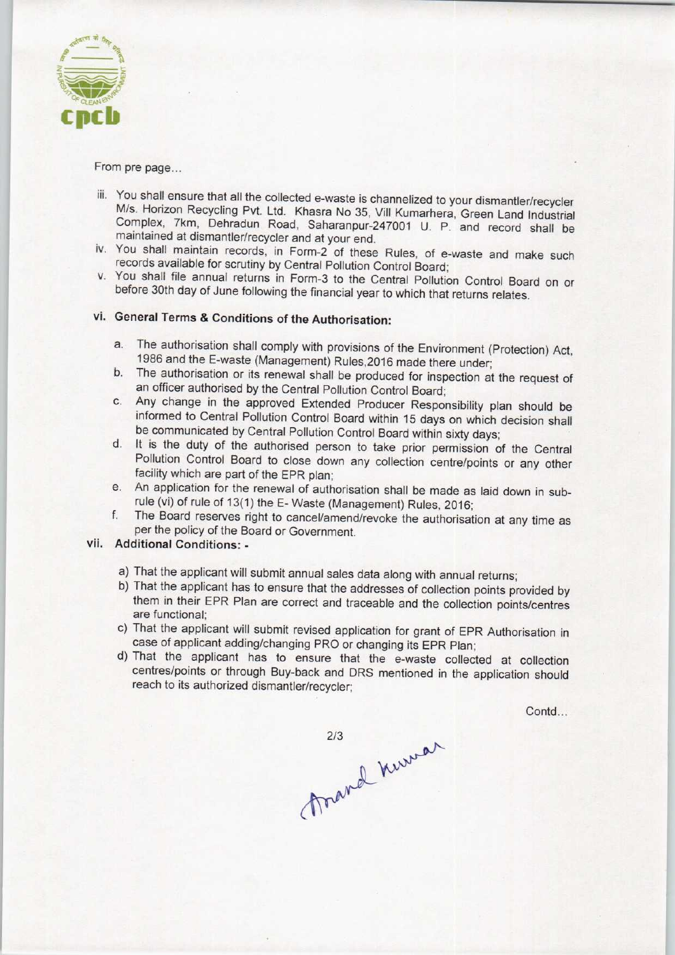

From pre page...

- iii. You shall ensure that all the collected e-waste is channelized to your dismantler/recycler M/s. Horizon Recycling Pvt. Ltd. Khasra No 35, Vill Kumarhera, Green Land Industrial Complex, 7km, Dehradun Road, Saharanpur-247001 U. P. and record shall be maintained at dismantler/recycler and at your end.
- iv. You shall maintain records, in Form-2 of these Rules, of e-waste and make such records available for scrutiny by Central Pollution Control Board;
- v. You shall file annual returns in Form-3 to the Central Pollution Control Board on or before 30th day of June following the financial year to which that returns relates.

## vi. General Terms & Conditions of the Authorisation:

- a. The authorisation shall comply with provisions of the Environment (Protection) Act, 1986 and the E-waste (Management) Rules,2016 made there under;
- b. The authorisation or its renewal shall be produced for inspection at the request of an officer authorised by the Central Pollution Control Board;
- c.Any change in the approved Extended Producer Responsibility plan should be informed to Central Pollution Control Board within 15 days on which decision shall be communicated by Central Pollution Control Board within sixty days;
- d. It is the duty of the authorised person to take prior permission of the Central Pollution Control Board to close down any collection centre/points or any other facility which are part of the EPR plan;
- e. An application for the renewal of authorisation shall be made as laid down in subrule (vi) of rule of 13(1) the E- Waste (Management) Rules. 2016;
- f.The Board reserves right to cancel/amend/revoke the authorisation at any time as per the policy of the Board or Government.

## vii. Additional Conditions: -

- a) That the applicant will submit annual sales data along with annual returns;
- b) That the applicant has to ensure that the addresses of collection points provided by them in their EPR Plan are correct and traceable and the collection points/centres are functional;
- c) That the applicant will submit revised application for grant of EPR Authorisation in case of applicant adding/changing PRO or changing its EPR Plan;
- d)That the applicant has to ensure that the e-waste collected at collection centres/points or through Buy-back and DRS mentioned in the application should reach to its authorized dismantler/recycler;

Contd...

213 revenuer